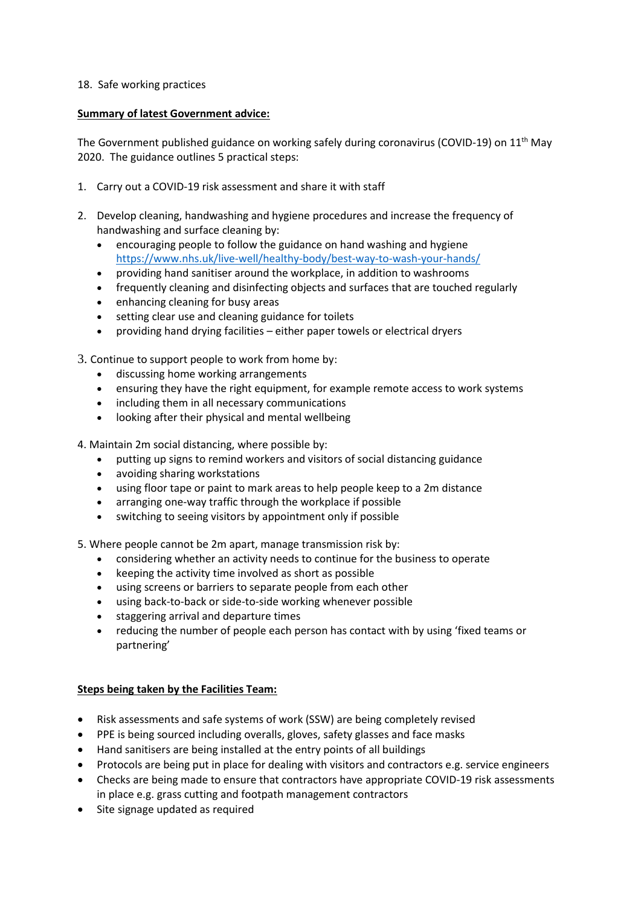## 18. Safe working practices

## **Summary of latest Government advice:**

The Government published guidance on working safely during coronavirus (COVID-19) on 11<sup>th</sup> May 2020. The guidance outlines 5 practical steps:

- 1. Carry out a COVID-19 risk assessment and share it with staff
- 2. Develop cleaning, handwashing and hygiene procedures and increase the frequency of handwashing and surface cleaning by:
	- encouraging people to follow the guidance on hand washing and hygiene <https://www.nhs.uk/live-well/healthy-body/best-way-to-wash-your-hands/>
	- providing hand sanitiser around the workplace, in addition to washrooms
	- frequently cleaning and disinfecting objects and surfaces that are touched regularly
	- enhancing cleaning for busy areas
	- setting clear use and cleaning guidance for toilets
	- providing hand drying facilities either paper towels or electrical dryers
- 3. Continue to support people to work from home by:
	- discussing home working arrangements
	- ensuring they have the right equipment, for example remote access to work systems
	- including them in all necessary communications
	- looking after their physical and mental wellbeing

4. Maintain 2m social distancing, where possible by:

- putting up signs to remind workers and visitors of social distancing guidance
- avoiding sharing workstations
- using floor tape or paint to mark areas to help people keep to a 2m distance
- arranging one-way traffic through the workplace if possible
- switching to seeing visitors by appointment only if possible

5. Where people cannot be 2m apart, manage transmission risk by:

- considering whether an activity needs to continue for the business to operate
- keeping the activity time involved as short as possible
- using screens or barriers to separate people from each other
- using back-to-back or side-to-side working whenever possible
- staggering arrival and departure times
- reducing the number of people each person has contact with by using 'fixed teams or partnering'

## **Steps being taken by the Facilities Team:**

- Risk assessments and safe systems of work (SSW) are being completely revised
- PPE is being sourced including overalls, gloves, safety glasses and face masks
- Hand sanitisers are being installed at the entry points of all buildings
- Protocols are being put in place for dealing with visitors and contractors e.g. service engineers
- Checks are being made to ensure that contractors have appropriate COVID-19 risk assessments in place e.g. grass cutting and footpath management contractors
- Site signage updated as required